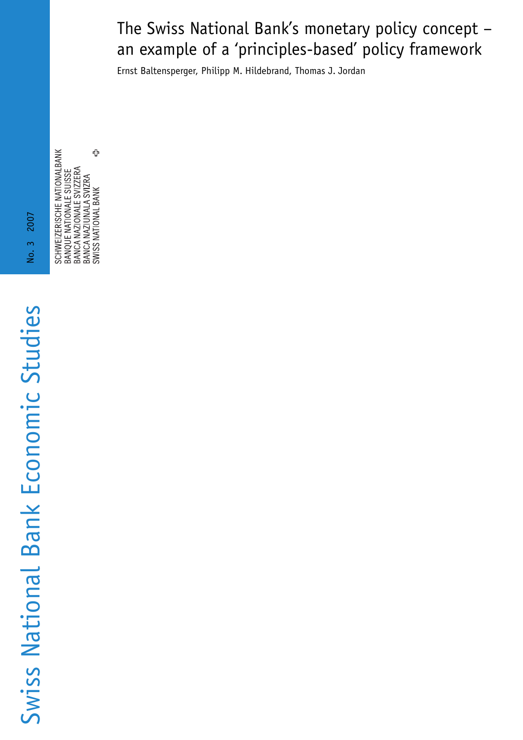# The Swiss National Bank's monetary policy concept – an example of a 'principles-based' policy framework

Ernst Baltensperger, Philipp M. Hildebrand, Thomas J. Jordan

SCHWEIZERISCHE NATIONALBANK<br>BANQUE NATIONALE SUISSE<br>BANCA NAZIONALE SVIZZERA<br>BANCA NAZIUNALA SVIZZEA<br>SWISS NATIONAL BANK

Swiss National Bank Economic Studies No. 3 2007 Swiss National Bank Economic Studies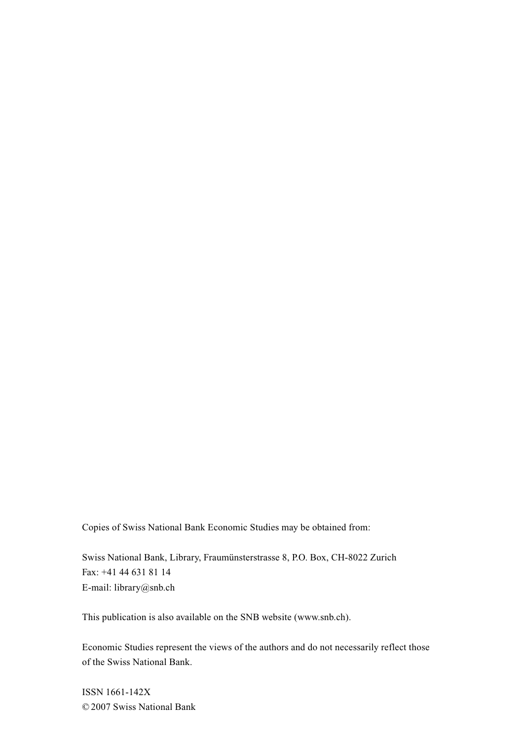Copies of Swiss National Bank Economic Studies may be obtained from:

Swiss National Bank, Library, Fraumünsterstrasse 8, P.O. Box, CH-8022 Zurich Fax: +41 44 631 81 14 E-mail: library@snb.ch

This publication is also available on the SNB website (www.snb.ch).

Economic Studies represent the views of the authors and do not necessarily reflect those of the Swiss National Bank.

ISSN 1661-142X © 2007 Swiss National Bank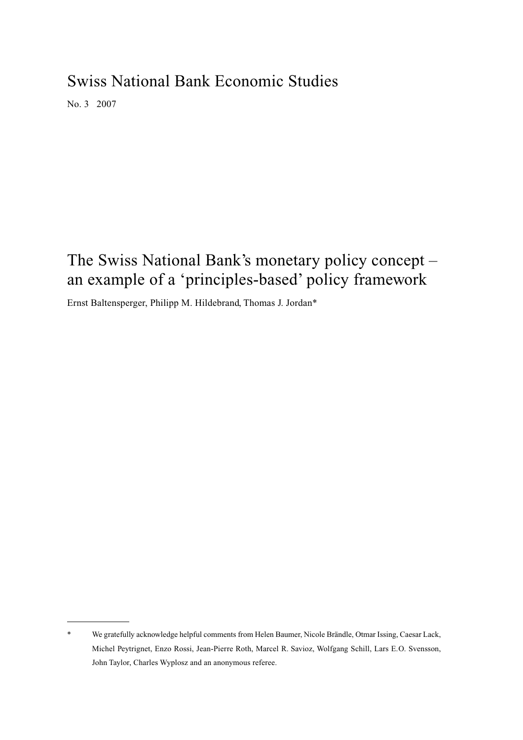# Swiss National Bank Economic Studies

No. 3 2007

# The Swiss National Bank's monetary policy concept – an example of a 'principles-based' policy framework

Ernst Baltensperger, Philipp M. Hildebrand, Thomas J. Jordan\*

We gratefully acknowledge helpful comments from Helen Baumer, Nicole Brändle, Otmar Issing, Caesar Lack, Michel Peytrignet, Enzo Rossi, Jean-Pierre Roth, Marcel R. Savioz, Wolfgang Schill, Lars E.O. Svensson, John Taylor, Charles Wyplosz and an anonymous referee.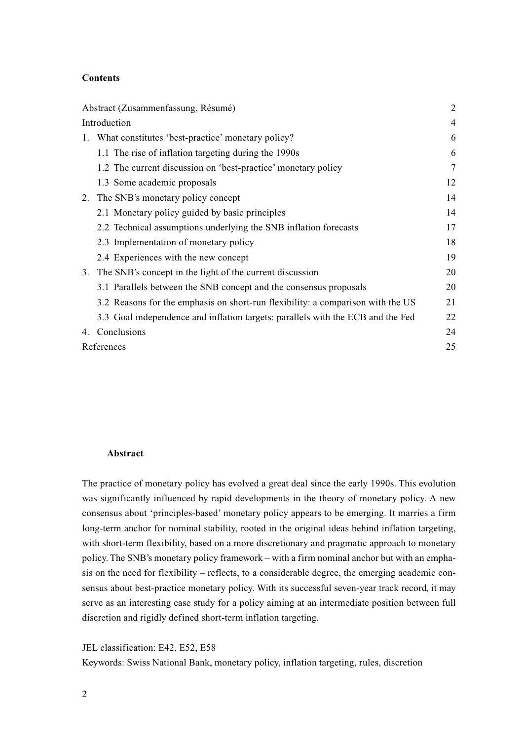# **Contents**

| Abstract (Zusammenfassung, Résumé) |                                                                                 | $\overline{2}$ |
|------------------------------------|---------------------------------------------------------------------------------|----------------|
|                                    | Introduction                                                                    |                |
| 1.                                 | What constitutes 'best-practice' monetary policy?                               | 6              |
|                                    | 1.1 The rise of inflation targeting during the 1990s                            | 6              |
|                                    | 1.2 The current discussion on 'best-practice' monetary policy                   | 7              |
|                                    | 1.3 Some academic proposals                                                     | 12             |
|                                    | 2. The SNB's monetary policy concept                                            | 14             |
|                                    | 2.1 Monetary policy guided by basic principles                                  | 14             |
|                                    | 2.2 Technical assumptions underlying the SNB inflation forecasts                | 17             |
|                                    | 2.3 Implementation of monetary policy                                           | 18             |
|                                    | 2.4 Experiences with the new concept                                            | 19             |
| 3.                                 | The SNB's concept in the light of the current discussion                        | 20             |
|                                    | 3.1 Parallels between the SNB concept and the consensus proposals               | 20             |
|                                    | 3.2 Reasons for the emphasis on short-run flexibility: a comparison with the US | 21             |
|                                    | 3.3 Goal independence and inflation targets: parallels with the ECB and the Fed | 22             |
| 4.                                 | Conclusions                                                                     | 24             |
|                                    | References                                                                      |                |

### **Abstract**

The practice of monetary policy has evolved a great deal since the early 1990s. This evolution was significantly influenced by rapid developments in the theory of monetary policy. A new consensus about 'principles-based' monetary policy appears to be emerging. It marries a firm long-term anchor for nominal stability, rooted in the original ideas behind inflation targeting, with short-term flexibility, based on a more discretionary and pragmatic approach to monetary policy. The SNB's monetary policy framework – with a firm nominal anchor but with an emphasis on the need for flexibility – reflects, to a considerable degree, the emerging academic consensus about best-practice monetary policy. With its successful seven-year track record, it may serve as an interesting case study for a policy aiming at an intermediate position between full discretion and rigidly defined short-term inflation targeting.

JEL classification: E42, E52, E58

Keywords: Swiss National Bank, monetary policy, inflation targeting, rules, discretion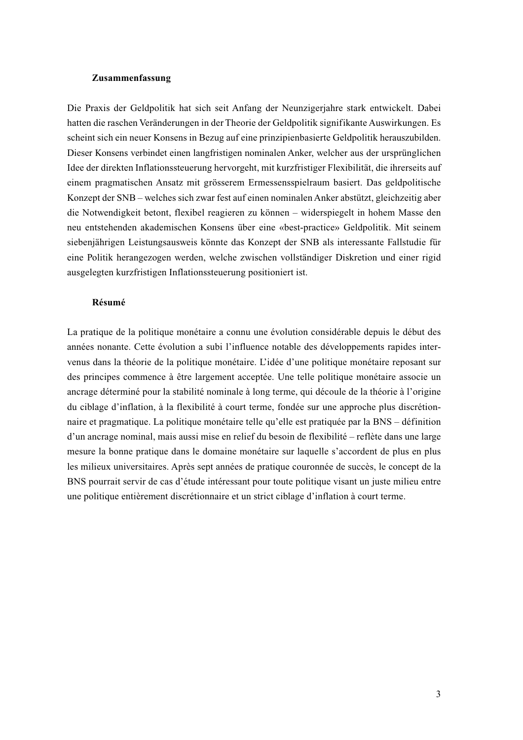### **Zusammenfassung**

Die Praxis der Geldpolitik hat sich seit Anfang der Neunzigerjahre stark entwickelt. Dabei hatten die raschen Veränderungen in der Theorie der Geldpolitik signifikante Auswirkungen. Es scheint sich ein neuer Konsens in Bezug auf eine prinzipienbasierte Geldpolitik herauszubilden. Dieser Konsens verbindet einen langfristigen nominalen Anker, welcher aus der ursprünglichen Idee der direkten Inflationssteuerung hervorgeht, mit kurzfristiger Flexibilität, die ihrerseits auf einem pragmatischen Ansatz mit grösserem Ermessensspielraum basiert. Das geldpolitische Konzept der SNB – welches sich zwar fest auf einen nominalen Anker abstützt, gleichzeitig aber die Notwendigkeit betont, flexibel reagieren zu können – widerspiegelt in hohem Masse den neu entstehenden akademischen Konsens über eine «best-practice» Geldpolitik. Mit seinem siebenjährigen Leistungsausweis könnte das Konzept der SNB als interessante Fallstudie für eine Politik herangezogen werden, welche zwischen vollständiger Diskretion und einer rigid ausgelegten kurzfristigen Inflationssteuerung positioniert ist.

# **Résumé**

La pratique de la politique monétaire a connu une évolution considérable depuis le début des années nonante. Cette évolution a subi l'influence notable des développements rapides intervenus dans la théorie de la politique monétaire. L'idée d'une politique monétaire reposant sur des principes commence à être largement acceptée. Une telle politique monétaire associe un ancrage déterminé pour la stabilité nominale à long terme, qui découle de la théorie à l'origine du ciblage d'inflation, à la flexibilité à court terme, fondée sur une approche plus discrétionnaire et pragmatique. La politique monétaire telle qu'elle est pratiquée par la BNS – définition d'un ancrage nominal, mais aussi mise en relief du besoin de flexibilité – reflète dans une large mesure la bonne pratique dans le domaine monétaire sur laquelle s'accordent de plus en plus les milieux universitaires. Après sept années de pratique couronnée de succès, le concept de la BNS pourrait servir de cas d'étude intéressant pour toute politique visant un juste milieu entre une politique entièrement discrétionnaire et un strict ciblage d'inflation à court terme.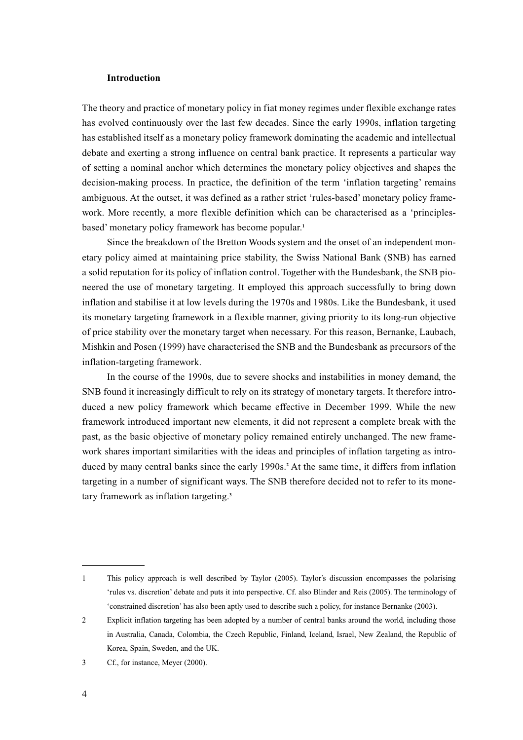## **Introduction**

The theory and practice of monetary policy in fiat money regimes under flexible exchange rates has evolved continuously over the last few decades. Since the early 1990s, inflation targeting has established itself as a monetary policy framework dominating the academic and intellectual debate and exerting a strong influence on central bank practice. It represents a particular way of setting a nominal anchor which determines the monetary policy objectives and shapes the decision-making process. In practice, the definition of the term 'inflation targeting' remains ambiguous. At the outset, it was defined as a rather strict 'rules-based' monetary policy framework. More recently, a more flexible definition which can be characterised as a 'principlesbased' monetary policy framework has become popular.**<sup>1</sup>**

Since the breakdown of the Bretton Woods system and the onset of an independent monetary policy aimed at maintaining price stability, the Swiss National Bank (SNB) has earned a solid reputation for its policy of inflation control. Together with the Bundesbank, the SNB pioneered the use of monetary targeting. It employed this approach successfully to bring down inflation and stabilise it at low levels during the 1970s and 1980s. Like the Bundesbank, it used its monetary targeting framework in a flexible manner, giving priority to its long-run objective of price stability over the monetary target when necessary. For this reason, Bernanke, Laubach, Mishkin and Posen (1999) have characterised the SNB and the Bundesbank as precursors of the inflation-targeting framework.

In the course of the 1990s, due to severe shocks and instabilities in money demand, the SNB found it increasingly difficult to rely on its strategy of monetary targets. It therefore introduced a new policy framework which became effective in December 1999. While the new framework introduced important new elements, it did not represent a complete break with the past, as the basic objective of monetary policy remained entirely unchanged. The new framework shares important similarities with the ideas and principles of inflation targeting as introduced by many central banks since the early 1990s.**<sup>2</sup>** At the same time, it differs from inflation targeting in a number of significant ways. The SNB therefore decided not to refer to its monetary framework as inflation targeting.**<sup>3</sup>**

<sup>1</sup> This policy approach is well described by Taylor (2005). Taylor's discussion encompasses the polarising 'rules vs. discretion' debate and puts it into perspective. Cf. also Blinder and Reis (2005). The terminology of 'constrained discretion' has also been aptly used to describe such a policy, for instance Bernanke (2003).

<sup>2</sup> Explicit inflation targeting has been adopted by a number of central banks around the world, including those in Australia, Canada, Colombia, the Czech Republic, Finland, Iceland, Israel, New Zealand, the Republic of Korea, Spain, Sweden, and the UK.

<sup>3</sup> Cf., for instance, Meyer (2000).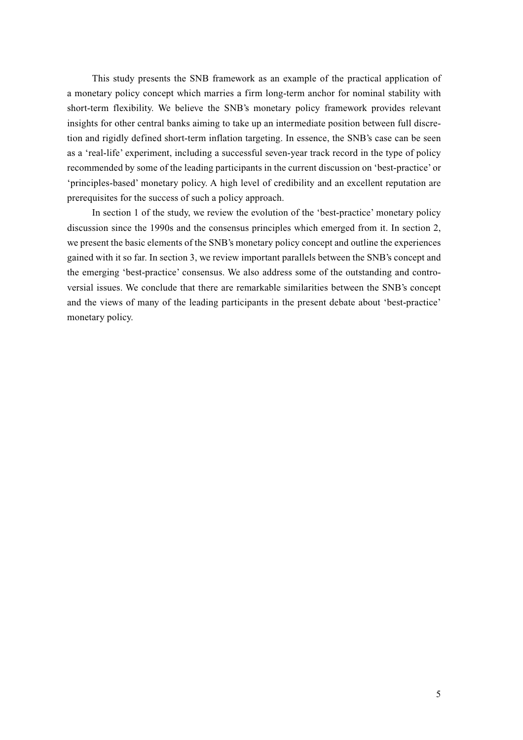This study presents the SNB framework as an example of the practical application of a monetary policy concept which marries a firm long-term anchor for nominal stability with short-term flexibility. We believe the SNB's monetary policy framework provides relevant insights for other central banks aiming to take up an intermediate position between full discretion and rigidly defined short-term inflation targeting. In essence, the SNB's case can be seen as a 'real-life' experiment, including a successful seven-year track record in the type of policy recommended by some of the leading participants in the current discussion on 'best-practice' or 'principles-based' monetary policy. A high level of credibility and an excellent reputation are prerequisites for the success of such a policy approach.

In section 1 of the study, we review the evolution of the 'best-practice' monetary policy discussion since the 1990s and the consensus principles which emerged from it. In section 2, we present the basic elements of the SNB's monetary policy concept and outline the experiences gained with it so far. In section 3, we review important parallels between the SNB's concept and the emerging 'best-practice' consensus. We also address some of the outstanding and controversial issues. We conclude that there are remarkable similarities between the SNB's concept and the views of many of the leading participants in the present debate about 'best-practice' monetary policy.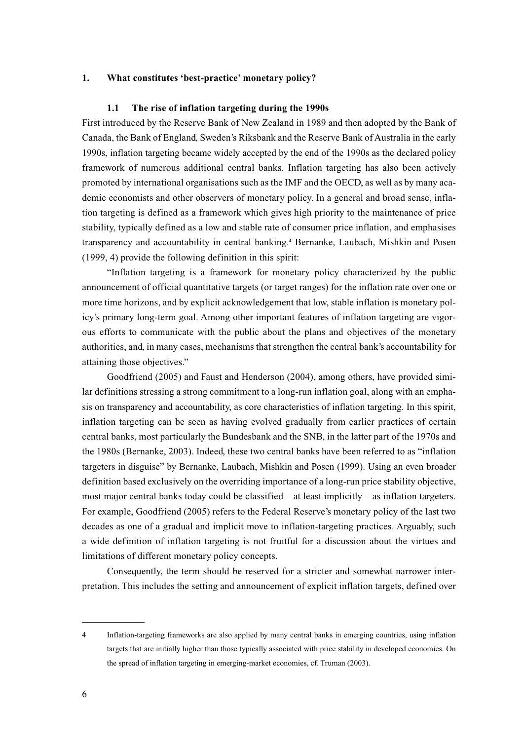## **1. What constitutes 'best-practice' monetary policy?**

### **1.1 The rise of inflation targeting during the 1990s**

First introduced by the Reserve Bank of New Zealand in 1989 and then adopted by the Bank of Canada, the Bank of England, Sweden's Riksbank and the Reserve Bank of Australia in the early 1990s, inflation targeting became widely accepted by the end of the 1990s as the declared policy framework of numerous additional central banks. Inflation targeting has also been actively promoted by international organisations such as the IMF and the OECD, as well as by many academic economists and other observers of monetary policy. In a general and broad sense, inflation targeting is defined as a framework which gives high priority to the maintenance of price stability, typically defined as a low and stable rate of consumer price inflation, and emphasises transparency and accountability in central banking.**<sup>4</sup>** Bernanke, Laubach, Mishkin and Posen (1999, 4) provide the following definition in this spirit:

"Inflation targeting is a framework for monetary policy characterized by the public announcement of official quantitative targets (or target ranges) for the inflation rate over one or more time horizons, and by explicit acknowledgement that low, stable inflation is monetary policy's primary long-term goal. Among other important features of inflation targeting are vigorous efforts to communicate with the public about the plans and objectives of the monetary authorities, and, in many cases, mechanisms that strengthen the central bank's accountability for attaining those objectives."

Goodfriend (2005) and Faust and Henderson (2004), among others, have provided similar definitions stressing a strong commitment to a long-run inflation goal, along with an emphasis on transparency and accountability, as core characteristics of inflation targeting. In this spirit, inflation targeting can be seen as having evolved gradually from earlier practices of certain central banks, most particularly the Bundesbank and the SNB, in the latter part of the 1970s and the 1980s (Bernanke, 2003). Indeed, these two central banks have been referred to as "inflation targeters in disguise" by Bernanke, Laubach, Mishkin and Posen (1999). Using an even broader definition based exclusively on the overriding importance of a long-run price stability objective, most major central banks today could be classified – at least implicitly – as inflation targeters. For example, Goodfriend (2005) refers to the Federal Reserve's monetary policy of the last two decades as one of a gradual and implicit move to inflation-targeting practices. Arguably, such a wide definition of inflation targeting is not fruitful for a discussion about the virtues and limitations of different monetary policy concepts.

Consequently, the term should be reserved for a stricter and somewhat narrower interpretation. This includes the setting and announcement of explicit inflation targets, defined over

<sup>4</sup> Inflation-targeting frameworks are also applied by many central banks in emerging countries, using inflation targets that are initially higher than those typically associated with price stability in developed economies. On the spread of inflation targeting in emerging-market economies, cf. Truman (2003).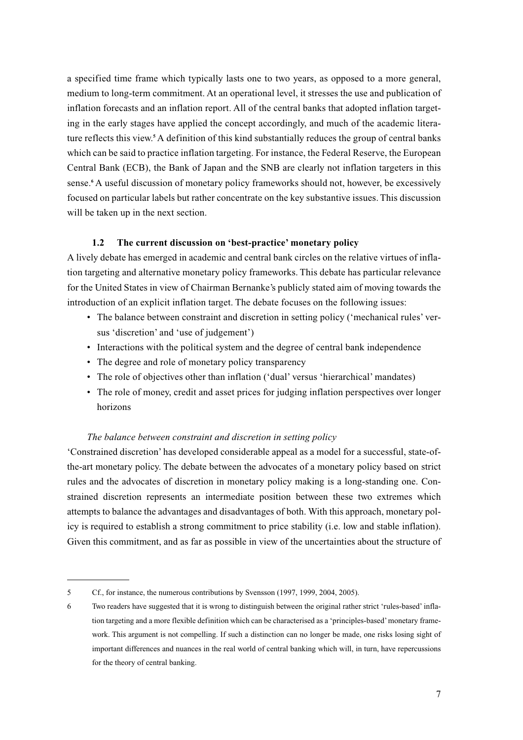a specified time frame which typically lasts one to two years, as opposed to a more general, medium to long-term commitment. At an operational level, it stresses the use and publication of inflation forecasts and an inflation report. All of the central banks that adopted inflation targeting in the early stages have applied the concept accordingly, and much of the academic literature reflects this view.**<sup>5</sup>** A definition of this kind substantially reduces the group of central banks which can be said to practice inflation targeting. For instance, the Federal Reserve, the European Central Bank (ECB), the Bank of Japan and the SNB are clearly not inflation targeters in this sense.**<sup>6</sup>** A useful discussion of monetary policy frameworks should not, however, be excessively focused on particular labels but rather concentrate on the key substantive issues. This discussion will be taken up in the next section.

# **1.2 The current discussion on 'best-practice' monetary policy**

A lively debate has emerged in academic and central bank circles on the relative virtues of inflation targeting and alternative monetary policy frameworks. This debate has particular relevance for the United States in view of Chairman Bernanke's publicly stated aim of moving towards the introduction of an explicit inflation target. The debate focuses on the following issues:

- The balance between constraint and discretion in setting policy ('mechanical rules' versus 'discretion' and 'use of judgement')
- Interactions with the political system and the degree of central bank independence
- The degree and role of monetary policy transparency
- The role of objectives other than inflation ('dual' versus 'hierarchical' mandates)
- The role of money, credit and asset prices for judging inflation perspectives over longer horizons

# *The balance between constraint and discretion in setting policy*

'Constrained discretion' has developed considerable appeal as a model for a successful, state-ofthe-art monetary policy. The debate between the advocates of a monetary policy based on strict rules and the advocates of discretion in monetary policy making is a long-standing one. Constrained discretion represents an intermediate position between these two extremes which attempts to balance the advantages and disadvantages of both. With this approach, monetary policy is required to establish a strong commitment to price stability (i.e. low and stable inflation). Given this commitment, and as far as possible in view of the uncertainties about the structure of

<sup>5</sup> Cf., for instance, the numerous contributions by Svensson (1997, 1999, 2004, 2005).

<sup>6</sup> Two readers have suggested that it is wrong to distinguish between the original rather strict 'rules-based' inflation targeting and a more flexible definition which can be characterised as a 'principles-based' monetary framework. This argument is not compelling. If such a distinction can no longer be made, one risks losing sight of important differences and nuances in the real world of central banking which will, in turn, have repercussions for the theory of central banking.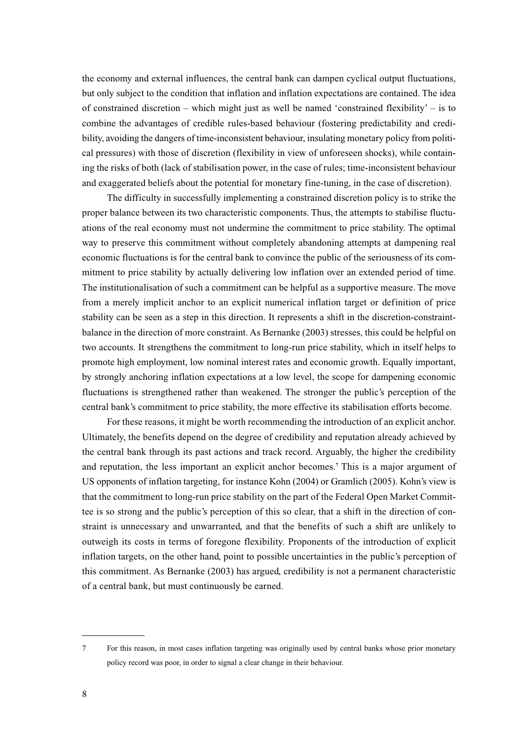the economy and external influences, the central bank can dampen cyclical output fluctuations, but only subject to the condition that inflation and inflation expectations are contained. The idea of constrained discretion – which might just as well be named 'constrained flexibility' – is to combine the advantages of credible rules-based behaviour (fostering predictability and credibility, avoiding the dangers of time-inconsistent behaviour, insulating monetary policy from political pressures) with those of discretion (flexibility in view of unforeseen shocks), while containing the risks of both (lack of stabilisation power, in the case of rules; time-inconsistent behaviour and exaggerated beliefs about the potential for monetary fine-tuning, in the case of discretion).

The difficulty in successfully implementing a constrained discretion policy is to strike the proper balance between its two characteristic components. Thus, the attempts to stabilise fluctuations of the real economy must not undermine the commitment to price stability. The optimal way to preserve this commitment without completely abandoning attempts at dampening real economic fluctuations is for the central bank to convince the public of the seriousness of its commitment to price stability by actually delivering low inflation over an extended period of time. The institutionalisation of such a commitment can be helpful as a supportive measure. The move from a merely implicit anchor to an explicit numerical inflation target or definition of price stability can be seen as a step in this direction. It represents a shift in the discretion-constraintbalance in the direction of more constraint. As Bernanke (2003) stresses, this could be helpful on two accounts. It strengthens the commitment to long-run price stability, which in itself helps to promote high employment, low nominal interest rates and economic growth. Equally important, by strongly anchoring inflation expectations at a low level, the scope for dampening economic fluctuations is strengthened rather than weakened. The stronger the public's perception of the central bank's commitment to price stability, the more effective its stabilisation efforts become.

For these reasons, it might be worth recommending the introduction of an explicit anchor. Ultimately, the benefits depend on the degree of credibility and reputation already achieved by the central bank through its past actions and track record. Arguably, the higher the credibility and reputation, the less important an explicit anchor becomes.**<sup>7</sup>** This is a major argument of US opponents of inflation targeting, for instance Kohn (2004) or Gramlich (2005). Kohn's view is that the commitment to long-run price stability on the part of the Federal Open Market Committee is so strong and the public's perception of this so clear, that a shift in the direction of constraint is unnecessary and unwarranted, and that the benefits of such a shift are unlikely to outweigh its costs in terms of foregone flexibility. Proponents of the introduction of explicit inflation targets, on the other hand, point to possible uncertainties in the public's perception of this commitment. As Bernanke (2003) has argued, credibility is not a permanent characteristic of a central bank, but must continuously be earned.

<sup>7</sup> For this reason, in most cases inflation targeting was originally used by central banks whose prior monetary policy record was poor, in order to signal a clear change in their behaviour.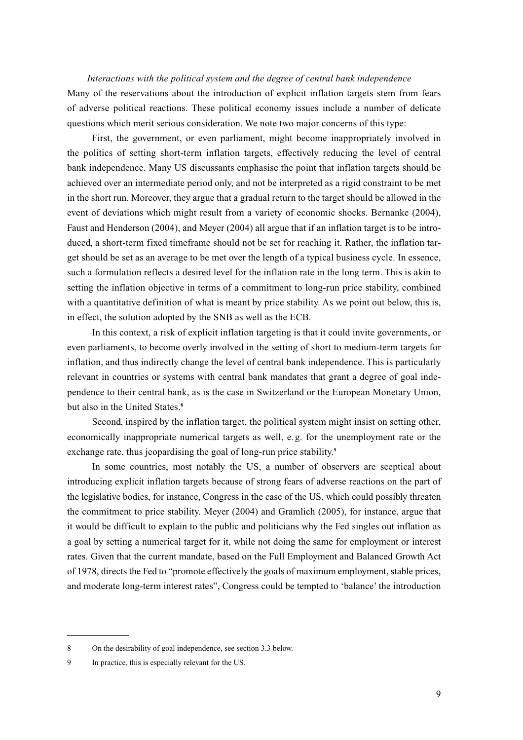# *Interactions with the political system and the degree of central bank independence* Many of the reservations about the introduction of explicit inflation targets stem from fears of adverse political reactions. These political economy issues include a number of delicate questions which merit serious consideration. We note two major concerns of this type:

First, the government, or even parliament, might become inappropriately involved in the politics of setting short-term inflation targets, effectively reducing the level of central bank independence. Many US discussants emphasise the point that inflation targets should be achieved over an intermediate period only, and not be interpreted as a rigid constraint to be met in the short run. Moreover, they argue that a gradual return to the target should be allowed in the event of deviations which might result from a variety of economic shocks. Bernanke (2004), Faust and Henderson (2004), and Meyer (2004) all argue that if an inflation target is to be introduced, a short-term fixed timeframe should not be set for reaching it. Rather, the inflation target should be set as an average to be met over the length of a typical business cycle. In essence, such a formulation reflects a desired level for the inflation rate in the long term. This is akin to setting the inflation objective in terms of a commitment to long-run price stability, combined with a quantitative definition of what is meant by price stability. As we point out below, this is, in effect, the solution adopted by the SNB as well as the ECB.

In this context, a risk of explicit inflation targeting is that it could invite governments, or even parliaments, to become overly involved in the setting of short to medium-term targets for inflation, and thus indirectly change the level of central bank independence. This is particularly relevant in countries or systems with central bank mandates that grant a degree of goal independence to their central bank, as is the case in Switzerland or the European Monetary Union, but also in the United States.**<sup>8</sup>**

Second, inspired by the inflation target, the political system might insist on setting other, economically inappropriate numerical targets as well, e.g. for the unemployment rate or the exchange rate, thus jeopardising the goal of long-run price stability.**<sup>9</sup>**

In some countries, most notably the US, a number of observers are sceptical about introducing explicit inflation targets because of strong fears of adverse reactions on the part of the legislative bodies, for instance, Congress in the case of the US, which could possibly threaten the commitment to price stability. Meyer (2004) and Gramlich (2005), for instance, argue that it would be difficult to explain to the public and politicians why the Fed singles out inflation as a goal by setting a numerical target for it, while not doing the same for employment or interest rates. Given that the current mandate, based on the Full Employment and Balanced Growth Act of 1978, directs the Fed to "promote effectively the goals of maximum employment, stable prices, and moderate long-term interest rates", Congress could be tempted to 'balance' the introduction

<sup>8</sup> On the desirability of goal independence, see section 3.3 below.

<sup>9</sup> In practice, this is especially relevant for the US.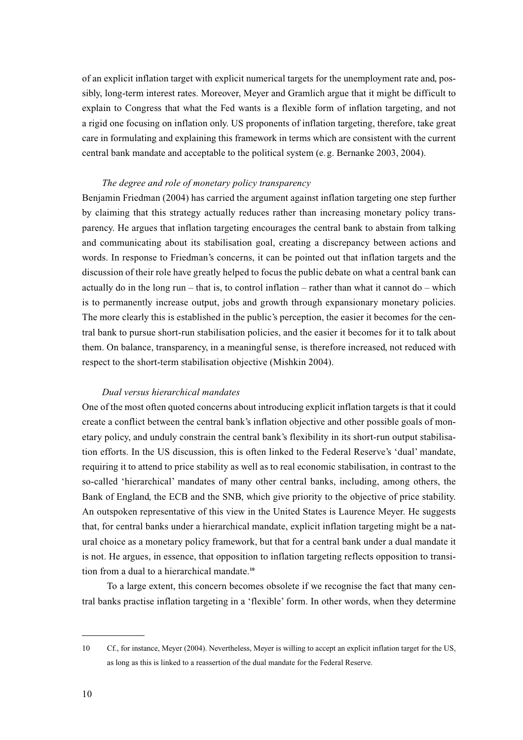of an explicit inflation target with explicit numerical targets for the unemployment rate and, possibly, long-term interest rates. Moreover, Meyer and Gramlich argue that it might be difficult to explain to Congress that what the Fed wants is a flexible form of inflation targeting, and not a rigid one focusing on inflation only. US proponents of inflation targeting, therefore, take great care in formulating and explaining this framework in terms which are consistent with the current central bank mandate and acceptable to the political system (e.g. Bernanke 2003, 2004).

## *The degree and role of monetary policy transparency*

Benjamin Friedman (2004) has carried the argument against inflation targeting one step further by claiming that this strategy actually reduces rather than increasing monetary policy transparency. He argues that inflation targeting encourages the central bank to abstain from talking and communicating about its stabilisation goal, creating a discrepancy between actions and words. In response to Friedman's concerns, it can be pointed out that inflation targets and the discussion of their role have greatly helped to focus the public debate on what a central bank can actually do in the long run – that is, to control inflation – rather than what it cannot  $do$  – which is to permanently increase output, jobs and growth through expansionary monetary policies. The more clearly this is established in the public's perception, the easier it becomes for the central bank to pursue short-run stabilisation policies, and the easier it becomes for it to talk about them. On balance, transparency, in a meaningful sense, is therefore increased, not reduced with respect to the short-term stabilisation objective (Mishkin 2004).

## *Dual versus hierarchical mandates*

One of the most often quoted concerns about introducing explicit inflation targets is that it could create a conflict between the central bank's inflation objective and other possible goals of monetary policy, and unduly constrain the central bank's flexibility in its short-run output stabilisation efforts. In the US discussion, this is often linked to the Federal Reserve's 'dual' mandate, requiring it to attend to price stability as well as to real economic stabilisation, in contrast to the so-called 'hierarchical' mandates of many other central banks, including, among others, the Bank of England, the ECB and the SNB, which give priority to the objective of price stability. An outspoken representative of this view in the United States is Laurence Meyer. He suggests that, for central banks under a hierarchical mandate, explicit inflation targeting might be a natural choice as a monetary policy framework, but that for a central bank under a dual mandate it is not. He argues, in essence, that opposition to inflation targeting reflects opposition to transition from a dual to a hierarchical mandate.**<sup>10</sup>**

To a large extent, this concern becomes obsolete if we recognise the fact that many central banks practise inflation targeting in a 'flexible' form. In other words, when they determine

<sup>10</sup> Cf., for instance, Meyer (2004). Nevertheless, Meyer is willing to accept an explicit inflation target for the US, as long as this is linked to a reassertion of the dual mandate for the Federal Reserve.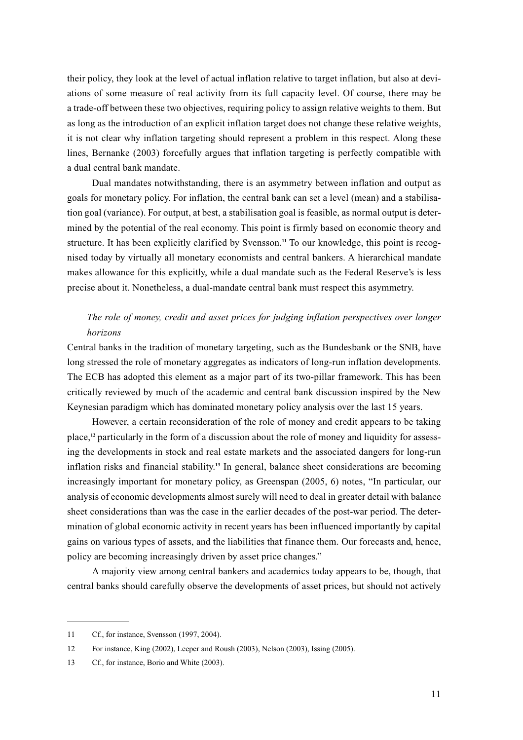their policy, they look at the level of actual inflation relative to target inflation, but also at deviations of some measure of real activity from its full capacity level. Of course, there may be a trade-off between these two objectives, requiring policy to assign relative weights to them. But as long as the introduction of an explicit inflation target does not change these relative weights, it is not clear why inflation targeting should represent a problem in this respect. Along these lines, Bernanke (2003) forcefully argues that inflation targeting is perfectly compatible with a dual central bank mandate.

Dual mandates notwithstanding, there is an asymmetry between inflation and output as goals for monetary policy. For inflation, the central bank can set a level (mean) and a stabilisation goal (variance). For output, at best, a stabilisation goal is feasible, as normal output is determined by the potential of the real economy. This point is firmly based on economic theory and structure. It has been explicitly clarified by Svensson.**<sup>11</sup>** To our knowledge, this point is recognised today by virtually all monetary economists and central bankers. A hierarchical mandate makes allowance for this explicitly, while a dual mandate such as the Federal Reserve's is less precise about it. Nonetheless, a dual-mandate central bank must respect this asymmetry.

# *The role of money, credit and asset prices for judging inflation perspectives over longer horizons*

Central banks in the tradition of monetary targeting, such as the Bundesbank or the SNB, have long stressed the role of monetary aggregates as indicators of long-run inflation developments. The ECB has adopted this element as a major part of its two-pillar framework. This has been critically reviewed by much of the academic and central bank discussion inspired by the New Keynesian paradigm which has dominated monetary policy analysis over the last 15 years.

However, a certain reconsideration of the role of money and credit appears to be taking place,**<sup>12</sup>** particularly in the form of a discussion about the role of money and liquidity for assessing the developments in stock and real estate markets and the associated dangers for long-run inflation risks and financial stability.**<sup>13</sup>** In general, balance sheet considerations are becoming increasingly important for monetary policy, as Greenspan (2005, 6) notes, "In particular, our analysis of economic developments almost surely will need to deal in greater detail with balance sheet considerations than was the case in the earlier decades of the post-war period. The determination of global economic activity in recent years has been influenced importantly by capital gains on various types of assets, and the liabilities that finance them. Our forecasts and, hence, policy are becoming increasingly driven by asset price changes."

A majority view among central bankers and academics today appears to be, though, that central banks should carefully observe the developments of asset prices, but should not actively

<sup>11</sup> Cf., for instance, Svensson (1997, 2004).

<sup>12</sup> For instance, King (2002), Leeper and Roush (2003), Nelson (2003), Issing (2005).

<sup>13</sup> Cf., for instance, Borio and White (2003).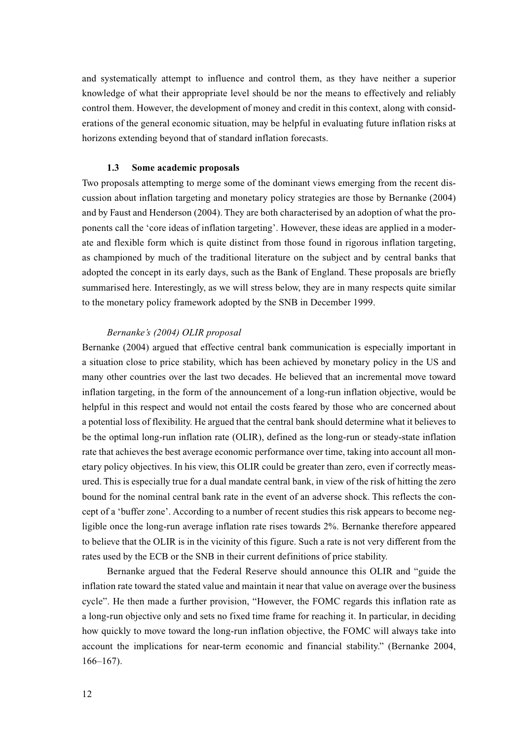and systematically attempt to influence and control them, as they have neither a superior knowledge of what their appropriate level should be nor the means to effectively and reliably control them. However, the development of money and credit in this context, along with considerations of the general economic situation, may be helpful in evaluating future inflation risks at horizons extending beyond that of standard inflation forecasts.

## **1.3 Some academic proposals**

Two proposals attempting to merge some of the dominant views emerging from the recent discussion about inflation targeting and monetary policy strategies are those by Bernanke (2004) and by Faust and Henderson (2004). They are both characterised by an adoption of what the proponents call the 'core ideas of inflation targeting'. However, these ideas are applied in a moderate and flexible form which is quite distinct from those found in rigorous inflation targeting, as championed by much of the traditional literature on the subject and by central banks that adopted the concept in its early days, such as the Bank of England. These proposals are briefly summarised here. Interestingly, as we will stress below, they are in many respects quite similar to the monetary policy framework adopted by the SNB in December 1999.

## *Bernanke's (2004) OLIR proposal*

Bernanke (2004) argued that effective central bank communication is especially important in a situation close to price stability, which has been achieved by monetary policy in the US and many other countries over the last two decades. He believed that an incremental move toward inflation targeting, in the form of the announcement of a long-run inflation objective, would be helpful in this respect and would not entail the costs feared by those who are concerned about a potential loss of flexibility. He argued that the central bank should determine what it believes to be the optimal long-run inflation rate (OLIR), defined as the long-run or steady-state inflation rate that achieves the best average economic performance over time, taking into account all monetary policy objectives. In his view, this OLIR could be greater than zero, even if correctly measured. This is especially true for a dual mandate central bank, in view of the risk of hitting the zero bound for the nominal central bank rate in the event of an adverse shock. This reflects the concept of a 'buffer zone'. According to a number of recent studies this risk appears to become negligible once the long-run average inflation rate rises towards 2%. Bernanke therefore appeared to believe that the OLIR is in the vicinity of this figure. Such a rate is not very different from the rates used by the ECB or the SNB in their current definitions of price stability.

Bernanke argued that the Federal Reserve should announce this OLIR and "guide the inflation rate toward the stated value and maintain it near that value on average over the business cycle". He then made a further provision, "However, the FOMC regards this inflation rate as a long-run objective only and sets no fixed time frame for reaching it. In particular, in deciding how quickly to move toward the long-run inflation objective, the FOMC will always take into account the implications for near-term economic and financial stability." (Bernanke 2004, 166–167).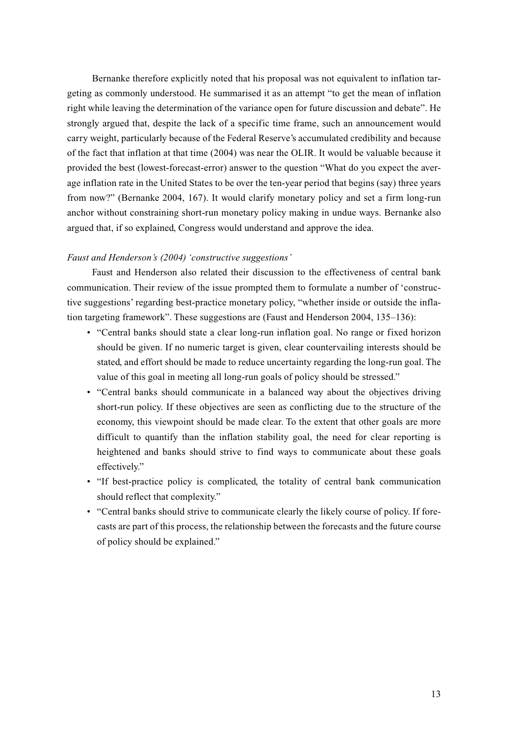Bernanke therefore explicitly noted that his proposal was not equivalent to inflation targeting as commonly understood. He summarised it as an attempt "to get the mean of inflation right while leaving the determination of the variance open for future discussion and debate". He strongly argued that, despite the lack of a specific time frame, such an announcement would carry weight, particularly because of the Federal Reserve's accumulated credibility and because of the fact that inflation at that time (2004) was near the OLIR. It would be valuable because it provided the best (lowest-forecast-error) answer to the question "What do you expect the average inflation rate in the United States to be over the ten-year period that begins (say) three years from now?" (Bernanke 2004, 167). It would clarify monetary policy and set a firm long-run anchor without constraining short-run monetary policy making in undue ways. Bernanke also argued that, if so explained, Congress would understand and approve the idea.

# *Faust and Henderson's (2004) 'constructive suggestions'*

Faust and Henderson also related their discussion to the effectiveness of central bank communication. Their review of the issue prompted them to formulate a number of 'constructive suggestions' regarding best-practice monetary policy, "whether inside or outside the inflation targeting framework". These suggestions are (Faust and Henderson 2004, 135–136):

- "Central banks should state a clear long-run inflation goal. No range or fixed horizon should be given. If no numeric target is given, clear countervailing interests should be stated, and effort should be made to reduce uncertainty regarding the long-run goal. The value of this goal in meeting all long-run goals of policy should be stressed."
- "Central banks should communicate in a balanced way about the objectives driving short-run policy. If these objectives are seen as conflicting due to the structure of the economy, this viewpoint should be made clear. To the extent that other goals are more difficult to quantify than the inflation stability goal, the need for clear reporting is heightened and banks should strive to find ways to communicate about these goals effectively."
- "If best-practice policy is complicated, the totality of central bank communication should reflect that complexity."
- "Central banks should strive to communicate clearly the likely course of policy. If forecasts are part of this process, the relationship between the forecasts and the future course of policy should be explained."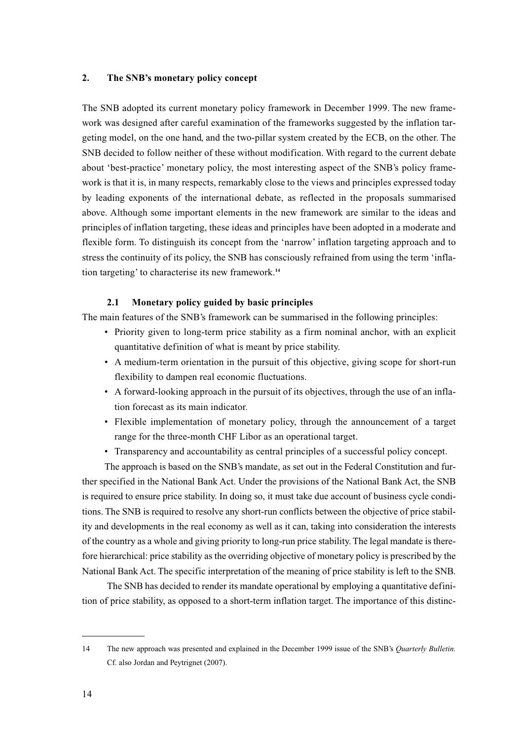## **2. The SNB's monetary policy concept**

The SNB adopted its current monetary policy framework in December 1999. The new framework was designed after careful examination of the frameworks suggested by the inflation targeting model, on the one hand, and the two-pillar system created by the ECB, on the other. The SNB decided to follow neither of these without modification. With regard to the current debate about 'best-practice' monetary policy, the most interesting aspect of the SNB's policy framework is that it is, in many respects, remarkably close to the views and principles expressed today by leading exponents of the international debate, as reflected in the proposals summarised above. Although some important elements in the new framework are similar to the ideas and principles of inflation targeting, these ideas and principles have been adopted in a moderate and flexible form. To distinguish its concept from the 'narrow' inflation targeting approach and to stress the continuity of its policy, the SNB has consciously refrained from using the term 'inflation targeting' to characterise its new framework.**<sup>14</sup>**

# **2.1 Monetary policy guided by basic principles**

The main features of the SNB's framework can be summarised in the following principles:

- Priority given to long-term price stability as a firm nominal anchor, with an explicit quantitative definition of what is meant by price stability.
- A medium-term orientation in the pursuit of this objective, giving scope for short-run flexibility to dampen real economic fluctuations.
- A forward-looking approach in the pursuit of its objectives, through the use of an inflation forecast as its main indicator.
- Flexible implementation of monetary policy, through the announcement of a target range for the three-month CHF Libor as an operational target.
- Transparency and accountability as central principles of a successful policy concept.

The approach is based on the SNB's mandate, as set out in the Federal Constitution and further specified in the National Bank Act. Under the provisions of the National Bank Act, the SNB is required to ensure price stability. In doing so, it must take due account of business cycle conditions. The SNB is required to resolve any short-run conflicts between the objective of price stability and developments in the real economy as well as it can, taking into consideration the interests of the country as a whole and giving priority to long-run price stability. The legal mandate is therefore hierarchical: price stability as the overriding objective of monetary policy is prescribed by the National Bank Act. The specific interpretation of the meaning of price stability is left to the SNB.

The SNB has decided to render its mandate operational by employing a quantitative definition of price stability, as opposed to a short-term inflation target. The importance of this distinc-

<sup>14</sup> The new approach was presented and explained in the December 1999 issue of the SNB's *Quarterly Bulletin.* Cf. also Jordan and Peytrignet (2007).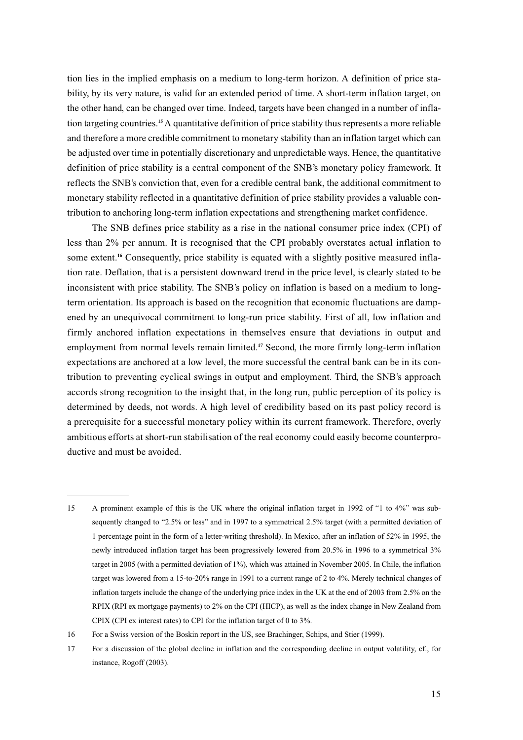tion lies in the implied emphasis on a medium to long-term horizon. A definition of price stability, by its very nature, is valid for an extended period of time. A short-term inflation target, on the other hand, can be changed over time. Indeed, targets have been changed in a number of inflation targeting countries.**<sup>15</sup>** A quantitative definition of price stability thus represents a more reliable and therefore a more credible commitment to monetary stability than an inflation target which can be adjusted over time in potentially discretionary and unpredictable ways. Hence, the quantitative definition of price stability is a central component of the SNB's monetary policy framework. It reflects the SNB's conviction that, even for a credible central bank, the additional commitment to monetary stability reflected in a quantitative definition of price stability provides a valuable contribution to anchoring long-term inflation expectations and strengthening market confidence.

The SNB defines price stability as a rise in the national consumer price index (CPI) of less than 2% per annum. It is recognised that the CPI probably overstates actual inflation to some extent.**<sup>16</sup>** Consequently, price stability is equated with a slightly positive measured inflation rate. Deflation, that is a persistent downward trend in the price level, is clearly stated to be inconsistent with price stability. The SNB's policy on inflation is based on a medium to longterm orientation. Its approach is based on the recognition that economic fluctuations are dampened by an unequivocal commitment to long-run price stability. First of all, low inflation and firmly anchored inflation expectations in themselves ensure that deviations in output and employment from normal levels remain limited.**<sup>17</sup>** Second, the more firmly long-term inflation expectations are anchored at a low level, the more successful the central bank can be in its contribution to preventing cyclical swings in output and employment. Third, the SNB's approach accords strong recognition to the insight that, in the long run, public perception of its policy is determined by deeds, not words. A high level of credibility based on its past policy record is a prerequisite for a successful monetary policy within its current framework. Therefore, overly ambitious efforts at short-run stabilisation of the real economy could easily become counterproductive and must be avoided.

<sup>15</sup> A prominent example of this is the UK where the original inflation target in 1992 of "1 to 4%" was subsequently changed to "2.5% or less" and in 1997 to a symmetrical 2.5% target (with a permitted deviation of 1 percentage point in the form of a letter-writing threshold). In Mexico, after an inflation of 52% in 1995, the newly introduced inflation target has been progressively lowered from 20.5% in 1996 to a symmetrical 3% target in 2005 (with a permitted deviation of 1%), which was attained in November 2005. In Chile, the inflation target was lowered from a 15-to-20% range in 1991 to a current range of 2 to 4%. Merely technical changes of inflation targets include the change of the underlying price index in the UK at the end of 2003 from 2.5% on the RPIX (RPI ex mortgage payments) to 2% on the CPI (HICP), as well as the index change in New Zealand from CPIX (CPI ex interest rates) to CPI for the inflation target of 0 to 3%.

<sup>16</sup> For a Swiss version of the Boskin report in the US, see Brachinger, Schips, and Stier (1999).

<sup>17</sup> For a discussion of the global decline in inflation and the corresponding decline in output volatility, cf., for instance, Rogoff (2003).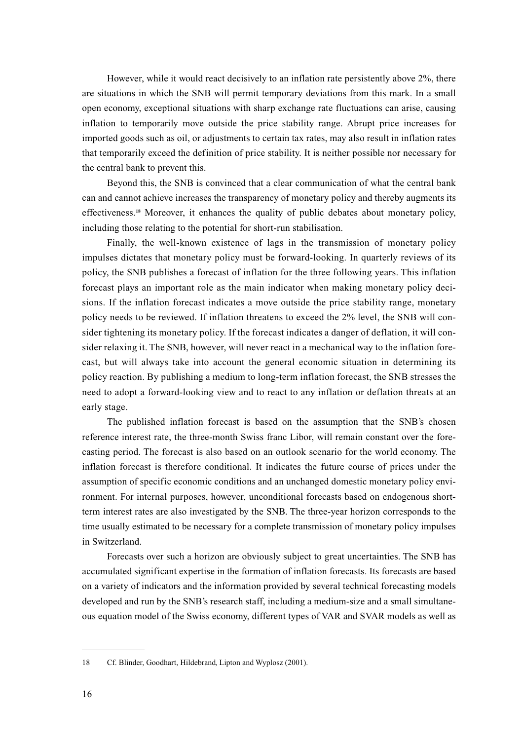However, while it would react decisively to an inflation rate persistently above 2%, there are situations in which the SNB will permit temporary deviations from this mark. In a small open economy, exceptional situations with sharp exchange rate fluctuations can arise, causing inflation to temporarily move outside the price stability range. Abrupt price increases for imported goods such as oil, or adjustments to certain tax rates, may also result in inflation rates that temporarily exceed the definition of price stability. It is neither possible nor necessary for the central bank to prevent this.

Beyond this, the SNB is convinced that a clear communication of what the central bank can and cannot achieve increases the transparency of monetary policy and thereby augments its effectiveness.**<sup>18</sup>** Moreover, it enhances the quality of public debates about monetary policy, including those relating to the potential for short-run stabilisation.

Finally, the well-known existence of lags in the transmission of monetary policy impulses dictates that monetary policy must be forward-looking. In quarterly reviews of its policy, the SNB publishes a forecast of inflation for the three following years. This inflation forecast plays an important role as the main indicator when making monetary policy decisions. If the inflation forecast indicates a move outside the price stability range, monetary policy needs to be reviewed. If inflation threatens to exceed the 2% level, the SNB will consider tightening its monetary policy. If the forecast indicates a danger of deflation, it will consider relaxing it. The SNB, however, will never react in a mechanical way to the inflation forecast, but will always take into account the general economic situation in determining its policy reaction. By publishing a medium to long-term inflation forecast, the SNB stresses the need to adopt a forward-looking view and to react to any inflation or deflation threats at an early stage.

The published inflation forecast is based on the assumption that the SNB's chosen reference interest rate, the three-month Swiss franc Libor, will remain constant over the forecasting period. The forecast is also based on an outlook scenario for the world economy. The inflation forecast is therefore conditional. It indicates the future course of prices under the assumption of specific economic conditions and an unchanged domestic monetary policy environment. For internal purposes, however, unconditional forecasts based on endogenous shortterm interest rates are also investigated by the SNB. The three-year horizon corresponds to the time usually estimated to be necessary for a complete transmission of monetary policy impulses in Switzerland.

Forecasts over such a horizon are obviously subject to great uncertainties. The SNB has accumulated significant expertise in the formation of inflation forecasts. Its forecasts are based on a variety of indicators and the information provided by several technical forecasting models developed and run by the SNB's research staff, including a medium-size and a small simultaneous equation model of the Swiss economy, different types of VAR and SVAR models as well as

<sup>18</sup> Cf. Blinder, Goodhart, Hildebrand, Lipton and Wyplosz (2001).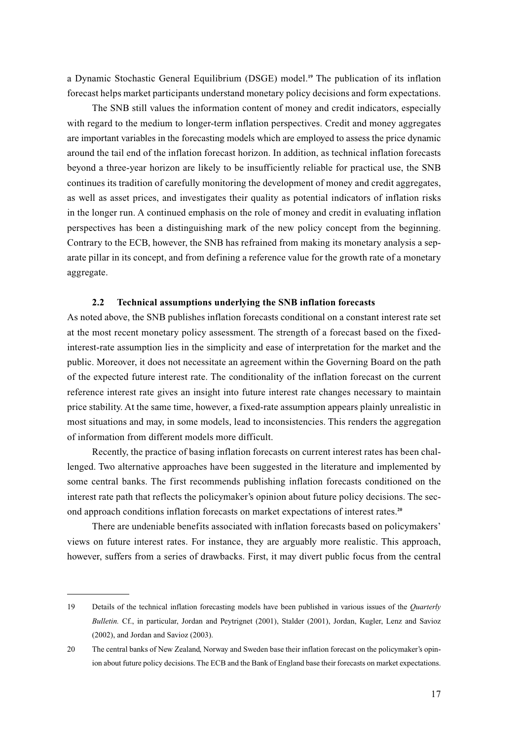a Dynamic Stochastic General Equilibrium (DSGE) model.**<sup>19</sup>** The publication of its inflation forecast helps market participants understand monetary policy decisions and form expectations.

The SNB still values the information content of money and credit indicators, especially with regard to the medium to longer-term inflation perspectives. Credit and money aggregates are important variables in the forecasting models which are employed to assess the price dynamic around the tail end of the inflation forecast horizon. In addition, as technical inflation forecasts beyond a three-year horizon are likely to be insufficiently reliable for practical use, the SNB continues its tradition of carefully monitoring the development of money and credit aggregates, as well as asset prices, and investigates their quality as potential indicators of inflation risks in the longer run. A continued emphasis on the role of money and credit in evaluating inflation perspectives has been a distinguishing mark of the new policy concept from the beginning. Contrary to the ECB, however, the SNB has refrained from making its monetary analysis a separate pillar in its concept, and from defining a reference value for the growth rate of a monetary aggregate.

## **2.2 Technical assumptions underlying the SNB inflation forecasts**

As noted above, the SNB publishes inflation forecasts conditional on a constant interest rate set at the most recent monetary policy assessment. The strength of a forecast based on the fixedinterest-rate assumption lies in the simplicity and ease of interpretation for the market and the public. Moreover, it does not necessitate an agreement within the Governing Board on the path of the expected future interest rate. The conditionality of the inflation forecast on the current reference interest rate gives an insight into future interest rate changes necessary to maintain price stability. At the same time, however, a fixed-rate assumption appears plainly unrealistic in most situations and may, in some models, lead to inconsistencies. This renders the aggregation of information from different models more difficult.

Recently, the practice of basing inflation forecasts on current interest rates has been challenged. Two alternative approaches have been suggested in the literature and implemented by some central banks. The first recommends publishing inflation forecasts conditioned on the interest rate path that reflects the policymaker's opinion about future policy decisions. The second approach conditions inflation forecasts on market expectations of interest rates.**<sup>20</sup>**

There are undeniable benefits associated with inflation forecasts based on policymakers' views on future interest rates. For instance, they are arguably more realistic. This approach, however, suffers from a series of drawbacks. First, it may divert public focus from the central

<sup>19</sup> Details of the technical inflation forecasting models have been published in various issues of the *Quarterly Bulletin.* Cf., in particular, Jordan and Peytrignet (2001), Stalder (2001), Jordan, Kugler, Lenz and Savioz (2002), and Jordan and Savioz (2003).

<sup>20</sup> The central banks of New Zealand, Norway and Sweden base their inflation forecast on the policymaker's opinion about future policy decisions. The ECB and the Bank of England base their forecasts on market expectations.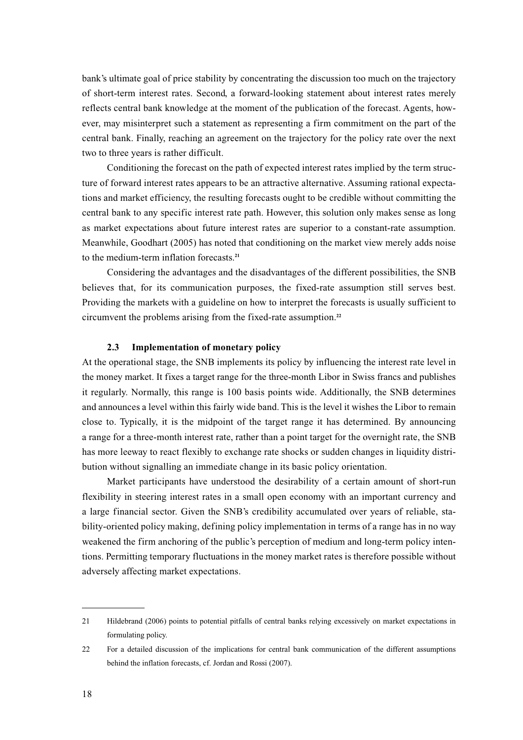bank's ultimate goal of price stability by concentrating the discussion too much on the trajectory of short-term interest rates. Second, a forward-looking statement about interest rates merely reflects central bank knowledge at the moment of the publication of the forecast. Agents, however, may misinterpret such a statement as representing a firm commitment on the part of the central bank. Finally, reaching an agreement on the trajectory for the policy rate over the next two to three years is rather difficult.

Conditioning the forecast on the path of expected interest rates implied by the term structure of forward interest rates appears to be an attractive alternative. Assuming rational expectations and market efficiency, the resulting forecasts ought to be credible without committing the central bank to any specific interest rate path. However, this solution only makes sense as long as market expectations about future interest rates are superior to a constant-rate assumption. Meanwhile, Goodhart (2005) has noted that conditioning on the market view merely adds noise to the medium-term inflation forecasts.**<sup>21</sup>**

Considering the advantages and the disadvantages of the different possibilities, the SNB believes that, for its communication purposes, the fixed-rate assumption still serves best. Providing the markets with a guideline on how to interpret the forecasts is usually sufficient to circumvent the problems arising from the fixed-rate assumption.**<sup>22</sup>**

## **2.3 Implementation of monetary policy**

At the operational stage, the SNB implements its policy by influencing the interest rate level in the money market. It fixes a target range for the three-month Libor in Swiss francs and publishes it regularly. Normally, this range is 100 basis points wide. Additionally, the SNB determines and announces a level within this fairly wide band. This is the level it wishes the Libor to remain close to. Typically, it is the midpoint of the target range it has determined. By announcing a range for a three-month interest rate, rather than a point target for the overnight rate, the SNB has more leeway to react flexibly to exchange rate shocks or sudden changes in liquidity distribution without signalling an immediate change in its basic policy orientation.

Market participants have understood the desirability of a certain amount of short-run flexibility in steering interest rates in a small open economy with an important currency and a large financial sector. Given the SNB's credibility accumulated over years of reliable, stability-oriented policy making, defining policy implementation in terms of a range has in no way weakened the firm anchoring of the public's perception of medium and long-term policy intentions. Permitting temporary fluctuations in the money market rates is therefore possible without adversely affecting market expectations.

<sup>21</sup> Hildebrand (2006) points to potential pitfalls of central banks relying excessively on market expectations in formulating policy.

<sup>22</sup> For a detailed discussion of the implications for central bank communication of the different assumptions behind the inflation forecasts, cf. Jordan and Rossi (2007).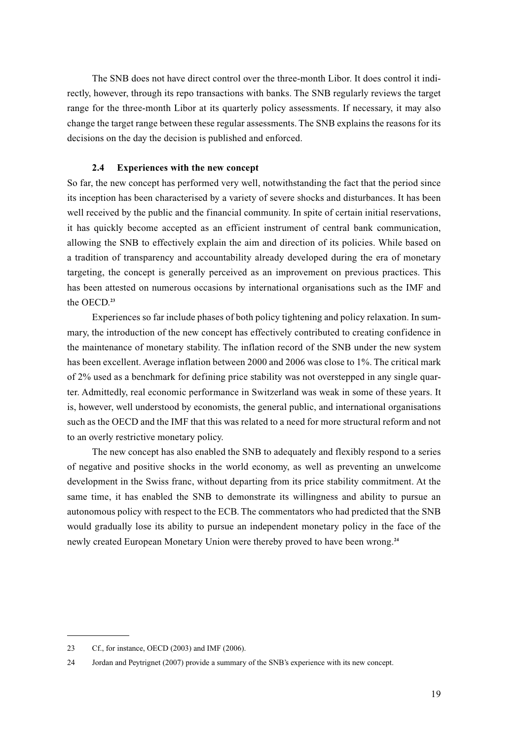The SNB does not have direct control over the three-month Libor. It does control it indirectly, however, through its repo transactions with banks. The SNB regularly reviews the target range for the three-month Libor at its quarterly policy assessments. If necessary, it may also change the target range between these regular assessments. The SNB explains the reasons for its decisions on the day the decision is published and enforced.

# **2.4 Experiences with the new concept**

So far, the new concept has performed very well, notwithstanding the fact that the period since its inception has been characterised by a variety of severe shocks and disturbances. It has been well received by the public and the financial community. In spite of certain initial reservations, it has quickly become accepted as an efficient instrument of central bank communication, allowing the SNB to effectively explain the aim and direction of its policies. While based on a tradition of transparency and accountability already developed during the era of monetary targeting, the concept is generally perceived as an improvement on previous practices. This has been attested on numerous occasions by international organisations such as the IMF and the OECD.**<sup>23</sup>**

Experiences so far include phases of both policy tightening and policy relaxation. In summary, the introduction of the new concept has effectively contributed to creating confidence in the maintenance of monetary stability. The inflation record of the SNB under the new system has been excellent. Average inflation between 2000 and 2006 was close to 1%. The critical mark of 2% used as a benchmark for defining price stability was not overstepped in any single quarter. Admittedly, real economic performance in Switzerland was weak in some of these years. It is, however, well understood by economists, the general public, and international organisations such as the OECD and the IMF that this was related to a need for more structural reform and not to an overly restrictive monetary policy.

The new concept has also enabled the SNB to adequately and flexibly respond to a series of negative and positive shocks in the world economy, as well as preventing an unwelcome development in the Swiss franc, without departing from its price stability commitment. At the same time, it has enabled the SNB to demonstrate its willingness and ability to pursue an autonomous policy with respect to the ECB. The commentators who had predicted that the SNB would gradually lose its ability to pursue an independent monetary policy in the face of the newly created European Monetary Union were thereby proved to have been wrong.**<sup>24</sup>**

<sup>23</sup> Cf., for instance, OECD (2003) and IMF (2006).

<sup>24</sup> Jordan and Peytrignet (2007) provide a summary of the SNB's experience with its new concept.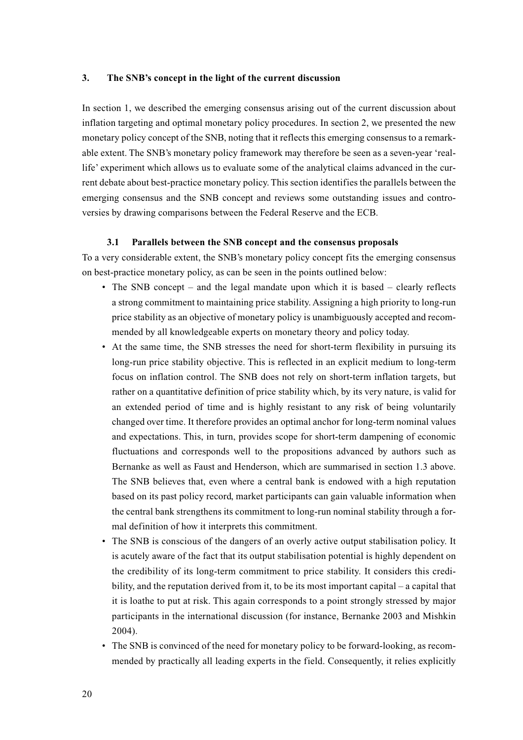## **3. The SNB's concept in the light of the current discussion**

In section 1, we described the emerging consensus arising out of the current discussion about inflation targeting and optimal monetary policy procedures. In section 2, we presented the new monetary policy concept of the SNB, noting that it reflects this emerging consensus to a remarkable extent. The SNB's monetary policy framework may therefore be seen as a seven-year 'reallife' experiment which allows us to evaluate some of the analytical claims advanced in the current debate about best-practice monetary policy. This section identifies the parallels between the emerging consensus and the SNB concept and reviews some outstanding issues and controversies by drawing comparisons between the Federal Reserve and the ECB.

## **3.1 Parallels between the SNB concept and the consensus proposals**

To a very considerable extent, the SNB's monetary policy concept fits the emerging consensus on best-practice monetary policy, as can be seen in the points outlined below:

- The SNB concept and the legal mandate upon which it is based clearly reflects a strong commitment to maintaining price stability. Assigning a high priority to long-run price stability as an objective of monetary policy is unambiguously accepted and recommended by all knowledgeable experts on monetary theory and policy today.
- At the same time, the SNB stresses the need for short-term flexibility in pursuing its long-run price stability objective. This is reflected in an explicit medium to long-term focus on inflation control. The SNB does not rely on short-term inflation targets, but rather on a quantitative definition of price stability which, by its very nature, is valid for an extended period of time and is highly resistant to any risk of being voluntarily changed over time. It therefore provides an optimal anchor for long-term nominal values and expectations. This, in turn, provides scope for short-term dampening of economic fluctuations and corresponds well to the propositions advanced by authors such as Bernanke as well as Faust and Henderson, which are summarised in section 1.3 above. The SNB believes that, even where a central bank is endowed with a high reputation based on its past policy record, market participants can gain valuable information when the central bank strengthens its commitment to long-run nominal stability through a formal definition of how it interprets this commitment.
- The SNB is conscious of the dangers of an overly active output stabilisation policy. It is acutely aware of the fact that its output stabilisation potential is highly dependent on the credibility of its long-term commitment to price stability. It considers this credibility, and the reputation derived from it, to be its most important capital – a capital that it is loathe to put at risk. This again corresponds to a point strongly stressed by major participants in the international discussion (for instance, Bernanke 2003 and Mishkin 2004).
- The SNB is convinced of the need for monetary policy to be forward-looking, as recommended by practically all leading experts in the field. Consequently, it relies explicitly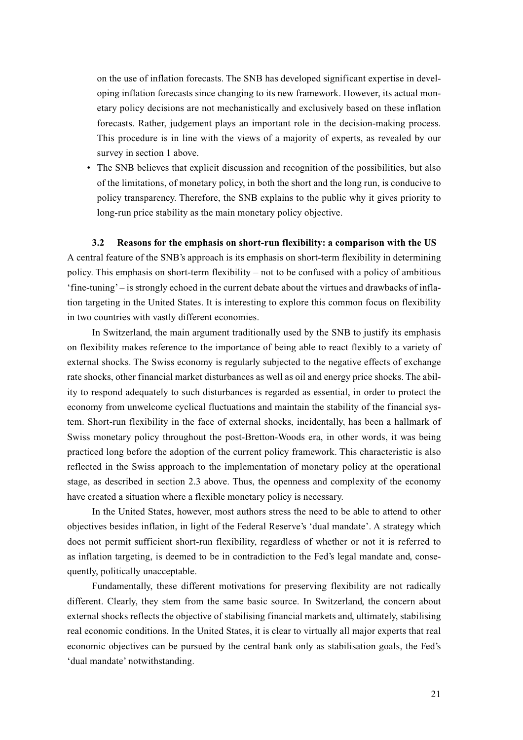on the use of inflation forecasts. The SNB has developed significant expertise in developing inflation forecasts since changing to its new framework. However, its actual monetary policy decisions are not mechanistically and exclusively based on these inflation forecasts. Rather, judgement plays an important role in the decision-making process. This procedure is in line with the views of a majority of experts, as revealed by our survey in section 1 above.

• The SNB believes that explicit discussion and recognition of the possibilities, but also of the limitations, of monetary policy, in both the short and the long run, is conducive to policy transparency. Therefore, the SNB explains to the public why it gives priority to long-run price stability as the main monetary policy objective.

### **3.2 Reasons for the emphasis on short-run flexibility: a comparison with the US**

A central feature of the SNB's approach is its emphasis on short-term flexibility in determining policy. This emphasis on short-term flexibility – not to be confused with a policy of ambitious 'fine-tuning' – is strongly echoed in the current debate about the virtues and drawbacks of inflation targeting in the United States. It is interesting to explore this common focus on flexibility in two countries with vastly different economies.

In Switzerland, the main argument traditionally used by the SNB to justify its emphasis on flexibility makes reference to the importance of being able to react flexibly to a variety of external shocks. The Swiss economy is regularly subjected to the negative effects of exchange rate shocks, other financial market disturbances as well as oil and energy price shocks. The ability to respond adequately to such disturbances is regarded as essential, in order to protect the economy from unwelcome cyclical fluctuations and maintain the stability of the financial system. Short-run flexibility in the face of external shocks, incidentally, has been a hallmark of Swiss monetary policy throughout the post-Bretton-Woods era, in other words, it was being practiced long before the adoption of the current policy framework. This characteristic is also reflected in the Swiss approach to the implementation of monetary policy at the operational stage, as described in section 2.3 above. Thus, the openness and complexity of the economy have created a situation where a flexible monetary policy is necessary.

In the United States, however, most authors stress the need to be able to attend to other objectives besides inflation, in light of the Federal Reserve's 'dual mandate'. A strategy which does not permit sufficient short-run flexibility, regardless of whether or not it is referred to as inflation targeting, is deemed to be in contradiction to the Fed's legal mandate and, consequently, politically unacceptable.

Fundamentally, these different motivations for preserving flexibility are not radically different. Clearly, they stem from the same basic source. In Switzerland, the concern about external shocks reflects the objective of stabilising financial markets and, ultimately, stabilising real economic conditions. In the United States, it is clear to virtually all major experts that real economic objectives can be pursued by the central bank only as stabilisation goals, the Fed's 'dual mandate' notwithstanding.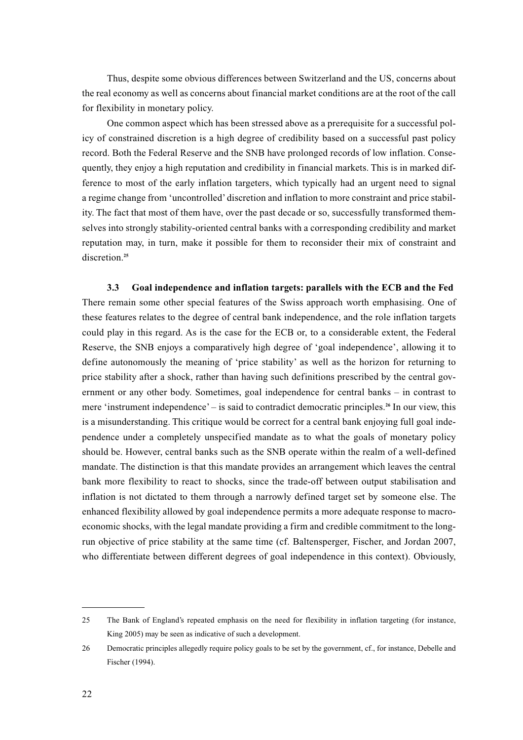Thus, despite some obvious differences between Switzerland and the US, concerns about the real economy as well as concerns about financial market conditions are at the root of the call for flexibility in monetary policy.

One common aspect which has been stressed above as a prerequisite for a successful policy of constrained discretion is a high degree of credibility based on a successful past policy record. Both the Federal Reserve and the SNB have prolonged records of low inflation. Consequently, they enjoy a high reputation and credibility in financial markets. This is in marked difference to most of the early inflation targeters, which typically had an urgent need to signal a regime change from 'uncontrolled' discretion and inflation to more constraint and price stability. The fact that most of them have, over the past decade or so, successfully transformed themselves into strongly stability-oriented central banks with a corresponding credibility and market reputation may, in turn, make it possible for them to reconsider their mix of constraint and discretion.**<sup>25</sup>**

**3.3 Goal independence and inflation targets: parallels with the ECB and the Fed** There remain some other special features of the Swiss approach worth emphasising. One of these features relates to the degree of central bank independence, and the role inflation targets could play in this regard. As is the case for the ECB or, to a considerable extent, the Federal Reserve, the SNB enjoys a comparatively high degree of 'goal independence', allowing it to define autonomously the meaning of 'price stability' as well as the horizon for returning to price stability after a shock, rather than having such definitions prescribed by the central government or any other body. Sometimes, goal independence for central banks – in contrast to mere 'instrument independence' – is said to contradict democratic principles.**<sup>26</sup>** In our view, this is a misunderstanding. This critique would be correct for a central bank enjoying full goal independence under a completely unspecified mandate as to what the goals of monetary policy should be. However, central banks such as the SNB operate within the realm of a well-defined mandate. The distinction is that this mandate provides an arrangement which leaves the central bank more flexibility to react to shocks, since the trade-off between output stabilisation and inflation is not dictated to them through a narrowly defined target set by someone else. The enhanced flexibility allowed by goal independence permits a more adequate response to macroeconomic shocks, with the legal mandate providing a firm and credible commitment to the longrun objective of price stability at the same time (cf. Baltensperger, Fischer, and Jordan 2007, who differentiate between different degrees of goal independence in this context). Obviously,

<sup>25</sup> The Bank of England's repeated emphasis on the need for flexibility in inflation targeting (for instance, King 2005) may be seen as indicative of such a development.

<sup>26</sup> Democratic principles allegedly require policy goals to be set by the government, cf., for instance, Debelle and Fischer (1994).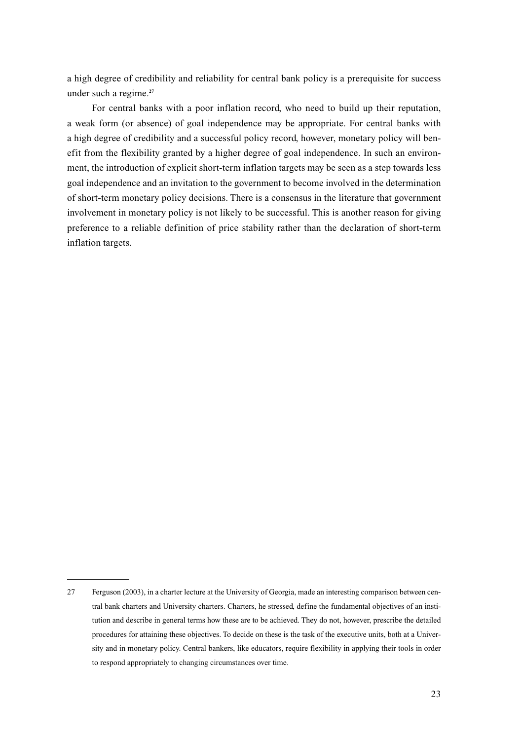a high degree of credibility and reliability for central bank policy is a prerequisite for success under such a regime.**<sup>27</sup>**

For central banks with a poor inflation record, who need to build up their reputation, a weak form (or absence) of goal independence may be appropriate. For central banks with a high degree of credibility and a successful policy record, however, monetary policy will benefit from the flexibility granted by a higher degree of goal independence. In such an environment, the introduction of explicit short-term inflation targets may be seen as a step towards less goal independence and an invitation to the government to become involved in the determination of short-term monetary policy decisions. There is a consensus in the literature that government involvement in monetary policy is not likely to be successful. This is another reason for giving preference to a reliable definition of price stability rather than the declaration of short-term inflation targets.

<sup>27</sup> Ferguson (2003), in a charter lecture at the University of Georgia, made an interesting comparison between central bank charters and University charters. Charters, he stressed, define the fundamental objectives of an institution and describe in general terms how these are to be achieved. They do not, however, prescribe the detailed procedures for attaining these objectives. To decide on these is the task of the executive units, both at a University and in monetary policy. Central bankers, like educators, require flexibility in applying their tools in order to respond appropriately to changing circumstances over time.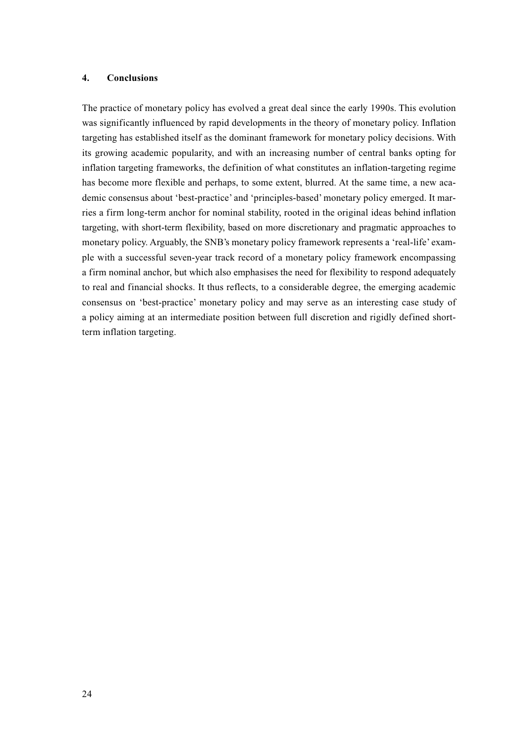# **4. Conclusions**

The practice of monetary policy has evolved a great deal since the early 1990s. This evolution was significantly influenced by rapid developments in the theory of monetary policy. Inflation targeting has established itself as the dominant framework for monetary policy decisions. With its growing academic popularity, and with an increasing number of central banks opting for inflation targeting frameworks, the definition of what constitutes an inflation-targeting regime has become more flexible and perhaps, to some extent, blurred. At the same time, a new academic consensus about 'best-practice' and 'principles-based' monetary policy emerged. It marries a firm long-term anchor for nominal stability, rooted in the original ideas behind inflation targeting, with short-term flexibility, based on more discretionary and pragmatic approaches to monetary policy. Arguably, the SNB's monetary policy framework represents a 'real-life' example with a successful seven-year track record of a monetary policy framework encompassing a firm nominal anchor, but which also emphasises the need for flexibility to respond adequately to real and financial shocks. It thus reflects, to a considerable degree, the emerging academic consensus on 'best-practice' monetary policy and may serve as an interesting case study of a policy aiming at an intermediate position between full discretion and rigidly defined shortterm inflation targeting.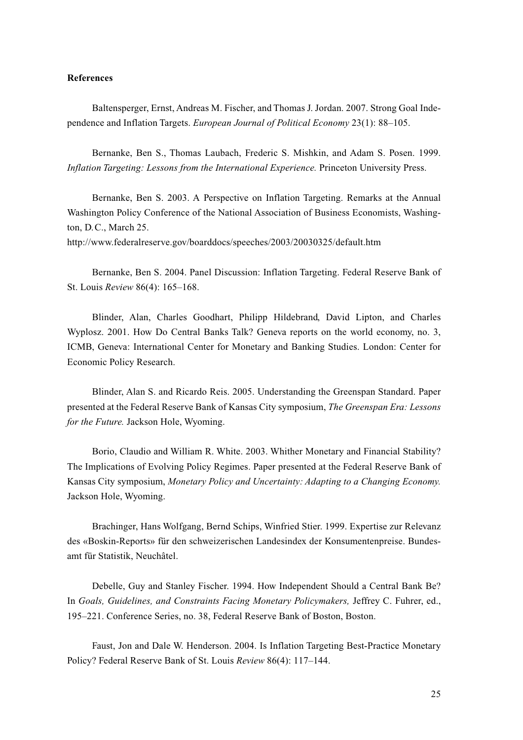## **References**

Baltensperger, Ernst, Andreas M. Fischer, and Thomas J. Jordan. 2007. Strong Goal Independence and Inflation Targets. *European Journal of Political Economy* 23(1): 88–105.

Bernanke, Ben S., Thomas Laubach, Frederic S. Mishkin, and Adam S. Posen. 1999. *Inflation Targeting: Lessons from the International Experience.* Princeton University Press.

Bernanke, Ben S. 2003. A Perspective on Inflation Targeting. Remarks at the Annual Washington Policy Conference of the National Association of Business Economists, Washington, D.C., March 25.

http://www.federalreserve.gov/boarddocs/speeches/2003/20030325/default.htm

Bernanke, Ben S. 2004. Panel Discussion: Inflation Targeting. Federal Reserve Bank of St. Louis *Review* 86(4): 165–168.

Blinder, Alan, Charles Goodhart, Philipp Hildebrand, David Lipton, and Charles Wyplosz. 2001. How Do Central Banks Talk? Geneva reports on the world economy, no. 3, ICMB, Geneva: International Center for Monetary and Banking Studies. London: Center for Economic Policy Research.

Blinder, Alan S. and Ricardo Reis. 2005. Understanding the Greenspan Standard. Paper presented at the Federal Reserve Bank of Kansas City symposium, *The Greenspan Era: Lessons for the Future.* Jackson Hole, Wyoming.

Borio, Claudio and William R. White. 2003. Whither Monetary and Financial Stability? The Implications of Evolving Policy Regimes. Paper presented at the Federal Reserve Bank of Kansas City symposium, *Monetary Policy and Uncertainty: Adapting to a Changing Economy.* Jackson Hole, Wyoming.

Brachinger, Hans Wolfgang, Bernd Schips, Winfried Stier. 1999. Expertise zur Relevanz des «Boskin-Reports» für den schweizerischen Landesindex der Konsumentenpreise. Bundesamt für Statistik, Neuchâtel.

Debelle, Guy and Stanley Fischer. 1994. How Independent Should a Central Bank Be? In *Goals, Guidelines, and Constraints Facing Monetary Policymakers,* Jeffrey C. Fuhrer, ed., 195–221. Conference Series, no. 38, Federal Reserve Bank of Boston, Boston.

Faust, Jon and Dale W. Henderson. 2004. Is Inflation Targeting Best-Practice Monetary Policy? Federal Reserve Bank of St. Louis *Review* 86(4): 117–144.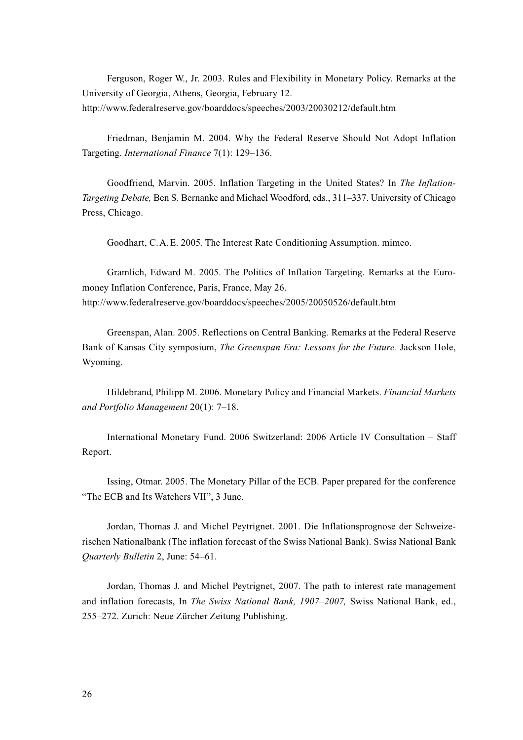Ferguson, Roger W., Jr. 2003. Rules and Flexibility in Monetary Policy. Remarks at the University of Georgia, Athens, Georgia, February 12. http://www.federalreserve.gov/boarddocs/speeches/2003/20030212/default.htm

Friedman, Benjamin M. 2004. Why the Federal Reserve Should Not Adopt Inflation Targeting. *International Finance* 7(1): 129–136.

Goodfriend, Marvin. 2005. Inflation Targeting in the United States? In *The Inflation-Targeting Debate,* Ben S. Bernanke and Michael Woodford, eds., 311–337. University of Chicago Press, Chicago.

Goodhart, C.A.E. 2005. The Interest Rate Conditioning Assumption. mimeo.

Gramlich, Edward M. 2005. The Politics of Inflation Targeting. Remarks at the Euromoney Inflation Conference, Paris, France, May 26. http://www.federalreserve.gov/boarddocs/speeches/2005/20050526/default.htm

Greenspan, Alan. 2005. Reflections on Central Banking. Remarks at the Federal Reserve Bank of Kansas City symposium, *The Greenspan Era: Lessons for the Future.* Jackson Hole, Wyoming.

Hildebrand, Philipp M. 2006. Monetary Policy and Financial Markets. *Financial Markets and Portfolio Management* 20(1): 7–18.

International Monetary Fund. 2006 Switzerland: 2006 Article IV Consultation – Staff Report.

Issing, Otmar. 2005. The Monetary Pillar of the ECB. Paper prepared for the conference "The ECB and Its Watchers VII", 3 June.

Jordan, Thomas J. and Michel Peytrignet. 2001. Die Inflationsprognose der Schweizerischen Nationalbank (The inflation forecast of the Swiss National Bank). Swiss National Bank *Quarterly Bulletin* 2, June: 54–61.

Jordan, Thomas J. and Michel Peytrignet, 2007. The path to interest rate management and inflation forecasts, In *The Swiss National Bank, 1907–2007,* Swiss National Bank, ed., 255–272. Zurich: Neue Zürcher Zeitung Publishing.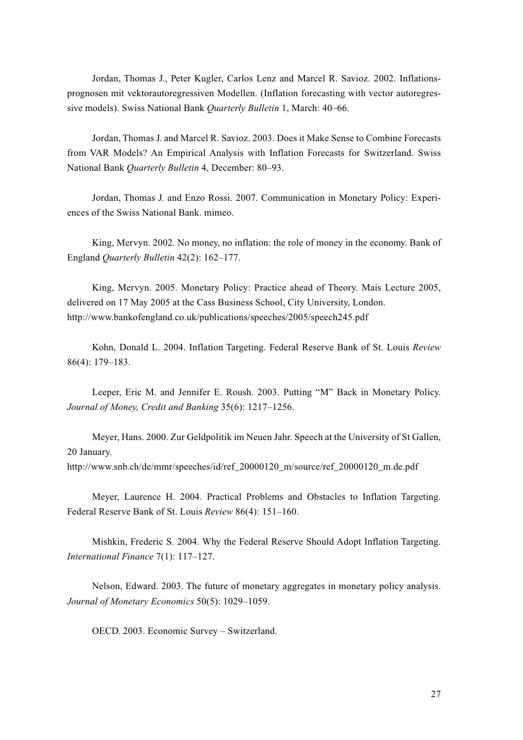Jordan, Thomas J., Peter Kugler, Carlos Lenz and Marcel R. Savioz. 2002. Inflationsprognosen mit vektorautoregressiven Modellen. (Inflation forecasting with vector autoregressive models). Swiss National Bank *Quarterly Bulletin* 1, March: 40–66.

Jordan, Thomas J. and Marcel R. Savioz. 2003. Does it Make Sense to Combine Forecasts from VAR Models? An Empirical Analysis with Inflation Forecasts for Switzerland. Swiss National Bank *Quarterly Bulletin* 4, December: 80–93.

Jordan, Thomas J. and Enzo Rossi. 2007. Communication in Monetary Policy: Experiences of the Swiss National Bank. mimeo.

King, Mervyn. 2002. No money, no inflation: the role of money in the economy. Bank of England *Quarterly Bulletin* 42(2): 162–177.

King, Mervyn. 2005. Monetary Policy: Practice ahead of Theory. Mais Lecture 2005, delivered on 17 May 2005 at the Cass Business School, City University, London. http://www.bankofengland.co.uk/publications/speeches/2005/speech245.pdf

Kohn, Donald L. 2004. Inflation Targeting. Federal Reserve Bank of St. Louis *Review* 86(4): 179–183.

Leeper, Eric M. and Jennifer E. Roush. 2003. Putting "M" Back in Monetary Policy. *Journal of Money, Credit and Banking* 35(6): 1217–1256.

Meyer, Hans. 2000. Zur Geldpolitik im Neuen Jahr. Speech at the University of St Gallen, 20 January. http://www.snb.ch/de/mmr/speeches/id/ref\_20000120\_m/source/ref\_20000120\_m.de.pdf

Meyer, Laurence H. 2004. Practical Problems and Obstacles to Inflation Targeting. Federal Reserve Bank of St. Louis *Review* 86(4): 151–160.

Mishkin, Frederic S. 2004. Why the Federal Reserve Should Adopt Inflation Targeting. *International Finance* 7(1): 117–127.

Nelson, Edward. 2003. The future of monetary aggregates in monetary policy analysis. *Journal of Monetary Economics* 50(5): 1029–1059.

OECD. 2003. Economic Survey – Switzerland.